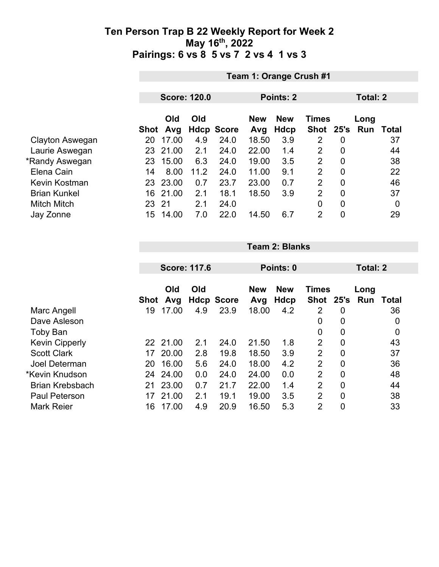|                     |      | Team 1: Orange Crush #1  |      |                   |       |            |                |                |          |             |  |
|---------------------|------|--------------------------|------|-------------------|-------|------------|----------------|----------------|----------|-------------|--|
|                     |      |                          |      |                   |       |            |                |                | Total: 2 |             |  |
|                     |      | <b>Score: 120.0</b>      |      |                   |       | Points: 2  |                |                |          |             |  |
|                     |      | Old<br>Old<br><b>New</b> |      |                   |       | <b>New</b> | <b>Times</b>   |                | Long     |             |  |
|                     | Shot | Avg                      |      | <b>Hdcp Score</b> | Avg   | Hdcp       | Shot 25's      |                | Run      | Total       |  |
| Clayton Aswegan     | 20   | 17.00                    | 4.9  | 24.0              | 18.50 | 3.9        | 2              | 0              |          | 37          |  |
| Laurie Aswegan      | 23   | 21.00                    | 2.1  | 24.0              | 22.00 | 1.4        | 2              | $\overline{0}$ |          | 44          |  |
| *Randy Aswegan      | 23   | 15.00                    | 6.3  | 24.0              | 19.00 | 3.5        | 2              | $\mathbf 0$    |          | 38          |  |
| Elena Cain          | 14   | 8.00                     | 11.2 | 24.0              | 11.00 | 9.1        | $\overline{2}$ | $\mathbf 0$    |          | 22          |  |
| Kevin Kostman       | 23   | 23.00                    | 0.7  | 23.7              | 23.00 | 0.7        | $\overline{2}$ | $\overline{0}$ |          | 46          |  |
| <b>Brian Kunkel</b> | 16   | 21.00                    | 2.1  | 18.1              | 18.50 | 3.9        | $\overline{2}$ | $\overline{0}$ |          | 37          |  |
| <b>Mitch Mitch</b>  | 23   | 21                       | 2.1  | 24.0              |       |            | 0              | $\mathbf 0$    |          | $\mathbf 0$ |  |
| Jay Zonne           | 15   | 14.00                    | 7.0  | 22.0              | 14.50 | 6.7        | $\overline{2}$ | $\mathbf 0$    |          | 29          |  |

|                        |             | <b>Score: 117.6</b> |     |                   |                   | Points: 0          |                             |                |             | Total: 2     |  |
|------------------------|-------------|---------------------|-----|-------------------|-------------------|--------------------|-----------------------------|----------------|-------------|--------------|--|
|                        | <b>Shot</b> | Old<br>Avg          | Old | <b>Hdcp Score</b> | <b>New</b><br>Avg | <b>New</b><br>Hdcp | <b>Times</b><br><b>Shot</b> | 25's           | Long<br>Run | <b>Total</b> |  |
| Marc Angell            | 19          | 17.00               | 4.9 | 23.9              | 18.00             | 4.2                | 2                           | 0              |             | 36           |  |
| Dave Asleson           |             |                     |     |                   |                   |                    | 0                           | 0              |             | 0            |  |
| Toby Ban               |             |                     |     |                   |                   |                    | 0                           | 0              |             | 0            |  |
| <b>Kevin Cipperly</b>  | 22          | 21.00               | 2.1 | 24.0              | 21.50             | 1.8                | $\overline{2}$              | $\mathbf 0$    |             | 43           |  |
| <b>Scott Clark</b>     | 17          | 20.00               | 2.8 | 19.8              | 18.50             | 3.9                | 2                           | $\overline{0}$ |             | 37           |  |
| Joel Determan          | 20          | 16.00               | 5.6 | 24.0              | 18.00             | 4.2                | $\overline{2}$              | $\mathbf 0$    |             | 36           |  |
| *Kevin Knudson         | 24          | 24.00               | 0.0 | 24.0              | 24.00             | 0.0                | $\overline{2}$              | $\mathbf 0$    |             | 48           |  |
| <b>Brian Krebsbach</b> | 21          | 23.00               | 0.7 | 21.7              | 22.00             | 1.4                | $\overline{2}$              | $\overline{0}$ |             | 44           |  |
| <b>Paul Peterson</b>   | 17          | 21.00               | 2.1 | 19.1              | 19.00             | 3.5                | 2                           | $\mathbf 0$    |             | 38           |  |
| <b>Mark Reier</b>      | 16          | 17.00               | 4.9 | 20.9              | 16.50             | 5.3                | $\overline{2}$              | $\mathbf 0$    |             | 33           |  |

**Team 2: Blanks**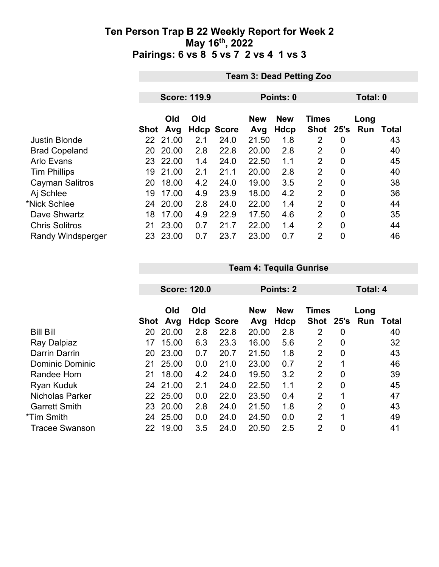|                          |      | <b>Team 3: Dead Petting Zoo</b> |     |                   |            |            |                |                |            |              |  |
|--------------------------|------|---------------------------------|-----|-------------------|------------|------------|----------------|----------------|------------|--------------|--|
|                          |      |                                 |     |                   |            |            |                |                |            |              |  |
|                          |      | <b>Score: 119.9</b>             |     |                   |            | Points: 0  |                |                |            | Total: 0     |  |
|                          |      | Old                             | Old |                   | <b>New</b> | <b>New</b> | <b>Times</b>   |                | Long       |              |  |
|                          | Shot | Avg                             |     | <b>Hdcp Score</b> | Avg        | Hdcp       | Shot 25's      |                | <b>Run</b> | <b>Total</b> |  |
| <b>Justin Blonde</b>     |      | 22 21.00                        | 2.1 | 24.0              | 21.50      | 1.8        | 2              | 0              |            | 43           |  |
| <b>Brad Copeland</b>     | 20   | 20.00                           | 2.8 | 22.8              | 20.00      | 2.8        | 2              | 0              |            | 40           |  |
| <b>Arlo Evans</b>        |      | 23 22.00                        | 1.4 | 24.0              | 22.50      | 1.1        | $\overline{2}$ | 0              |            | 45           |  |
| <b>Tim Phillips</b>      | 19   | 21.00                           | 2.1 | 21.1              | 20.00      | 2.8        | $\overline{2}$ | $\overline{0}$ |            | 40           |  |
| <b>Cayman Salitros</b>   | 20   | 18.00                           | 4.2 | 24.0              | 19.00      | 3.5        | $\overline{2}$ | $\overline{0}$ |            | 38           |  |
| Aj Schlee                | 19   | 17.00                           | 4.9 | 23.9              | 18.00      | 4.2        | $\overline{2}$ | 0              |            | 36           |  |
| *Nick Schlee             | 24   | 20.00                           | 2.8 | 24.0              | 22.00      | 1.4        | 2              | 0              |            | 44           |  |
| Dave Shwartz             | 18   | 17.00                           | 4.9 | 22.9              | 17.50      | 4.6        | $\overline{2}$ | $\mathbf{0}$   |            | 35           |  |
| <b>Chris Solitros</b>    | 21   | 23.00                           | 0.7 | 21.7              | 22.00      | 1.4        | $\overline{2}$ | 0              |            | 44           |  |
| <b>Randy Windsperger</b> | 23   | 23.00                           | 0.7 | 23.7              | 23.00      | 0.7        | $\overline{2}$ | $\overline{0}$ |            | 46           |  |

|                        |      |            |                     |                   |                   |                    |                           | Total: 4       |             |       |
|------------------------|------|------------|---------------------|-------------------|-------------------|--------------------|---------------------------|----------------|-------------|-------|
|                        |      |            | <b>Score: 120.0</b> |                   |                   | Points: 2          |                           |                |             |       |
|                        | Shot | Old<br>Avg | Old                 | <b>Hdcp Score</b> | <b>New</b><br>Avg | <b>New</b><br>Hdcp | <b>Times</b><br>Shot 25's |                | Long<br>Run | Total |
| <b>Bill Bill</b>       | 20   | 20.00      | 2.8                 | 22.8              | 20.00             | 2.8                | 2                         | 0              |             | 40    |
| Ray Dalpiaz            | 17   | 15.00      | 6.3                 | 23.3              | 16.00             | 5.6                | $\overline{2}$            | 0              |             | 32    |
| Darrin Darrin          | 20   | 23.00      | 0.7                 | 20.7              | 21.50             | 1.8                | $\overline{2}$            | $\overline{0}$ |             | 43    |
| <b>Dominic Dominic</b> | 21   | 25.00      | 0.0                 | 21.0              | 23.00             | 0.7                | 2                         | 1              |             | 46    |
| Randee Hom             | 21   | 18.00      | 4.2                 | 24.0              | 19.50             | 3.2                | 2                         | $\overline{0}$ |             | 39    |
| <b>Ryan Kuduk</b>      |      | 24 21.00   | 2.1                 | 24.0              | 22.50             | 1.1                | $\overline{2}$            | 0              |             | 45    |
| <b>Nicholas Parker</b> | 22   | 25.00      | 0.0                 | 22.0              | 23.50             | 0.4                | $\overline{2}$            | 1              |             | 47    |
| <b>Garrett Smith</b>   | 23   | 20.00      | 2.8                 | 24.0              | 21.50             | 1.8                | $\overline{2}$            | $\overline{0}$ |             | 43    |
| *Tim Smith             | 24   | 25.00      | 0.0                 | 24.0              | 24.50             | 0.0                | 2                         | 1              |             | 49    |
| <b>Tracee Swanson</b>  | 22   | 19.00      | 3.5                 | 24.0              | 20.50             | 2.5                | $\overline{2}$            | 0              |             | 41    |

**Team 4: Tequila Gunrise**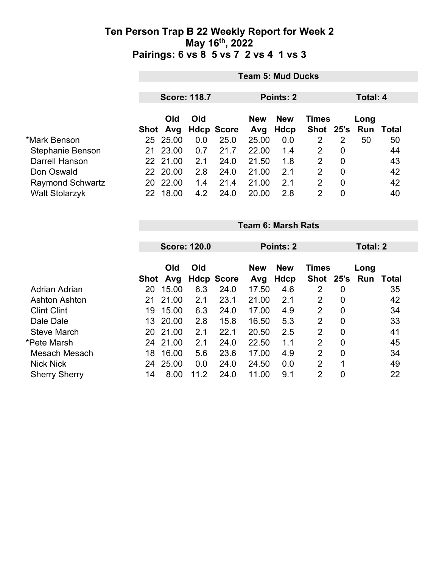|                         |    | <b>Team 5: Mud Ducks</b> |                     |                   |            |            |                |   |                     |    |  |  |
|-------------------------|----|--------------------------|---------------------|-------------------|------------|------------|----------------|---|---------------------|----|--|--|
|                         |    |                          | <b>Score: 118.7</b> |                   | Points: 2  |            |                |   | Total: 4            |    |  |  |
|                         |    | Old                      | Old                 |                   | <b>New</b> | <b>New</b> | <b>Times</b>   |   | Long                |    |  |  |
|                         |    | Shot Avg                 |                     | <b>Hdcp Score</b> | Avg        | Hdcp       |                |   | Shot 25's Run Total |    |  |  |
| *Mark Benson            |    | 25 25.00                 | 0.0                 | 25.0              | 25.00      | 0.0        | 2              | 2 | 50                  | 50 |  |  |
| Stephanie Benson        | 21 | 23.00                    | 0.7                 | 21.7              | 22.00      | 1.4        | 2              | 0 |                     | 44 |  |  |
| Darrell Hanson          |    | 22 21.00                 | 2.1                 | 24.0              | 21.50      | 1.8        | 2              | 0 |                     | 43 |  |  |
| Don Oswald              | 22 | 20.00                    | 2.8                 | 24.0              | 21.00      | 2.1        | 2              | 0 |                     | 42 |  |  |
| <b>Raymond Schwartz</b> | 20 | 22.00                    | 1.4                 | 21.4              | 21.00      | 2.1        | $\overline{2}$ | 0 |                     | 42 |  |  |
| <b>Walt Stolarzyk</b>   | 22 | 18.00                    | 4.2                 | 24.0              | 20.00      | 2.8        | $\overline{2}$ | 0 |                     | 40 |  |  |

|                      |             | <b>Team 6: Marsh Rats</b> |      |                   |                                          |           |                |                |      |                 |  |
|----------------------|-------------|---------------------------|------|-------------------|------------------------------------------|-----------|----------------|----------------|------|-----------------|--|
|                      |             | <b>Score: 120.0</b>       |      |                   |                                          | Points: 2 |                |                |      | <b>Total: 2</b> |  |
|                      |             | Old<br>Old                |      |                   | <b>New</b><br><b>Times</b><br><b>New</b> |           |                |                | Long |                 |  |
|                      | <b>Shot</b> | Avg                       |      | <b>Hdcp Score</b> | Avg                                      | Hdcp      | Shot 25's      |                | Run  | <b>Total</b>    |  |
| Adrian Adrian        | 20          | 15.00                     | 6.3  | 24.0              | 17.50                                    | 4.6       | 2              | 0              |      | 35              |  |
| <b>Ashton Ashton</b> | 21          | 21.00                     | 2.1  | 23.1              | 21.00                                    | 2.1       | 2              | 0              |      | 42              |  |
| <b>Clint Clint</b>   | 19          | 15.00                     | 6.3  | 24.0              | 17.00                                    | 4.9       | $\overline{2}$ | $\overline{0}$ |      | 34              |  |
| Dale Dale            | 13          | 20.00                     | 2.8  | 15.8              | 16.50                                    | 5.3       | $\overline{2}$ | $\mathbf 0$    |      | 33              |  |
| <b>Steve March</b>   | 20          | 21.00                     | 2.1  | 22.1              | 20.50                                    | 2.5       | $\overline{2}$ | $\overline{0}$ |      | 41              |  |
| *Pete Marsh          | 24          | 21.00                     | 2.1  | 24.0              | 22.50                                    | 1.1       | $\overline{2}$ | $\mathbf 0$    |      | 45              |  |
| Mesach Mesach        | 18          | 16.00                     | 5.6  | 23.6              | 17.00                                    | 4.9       | $\overline{2}$ | $\overline{0}$ |      | 34              |  |
| <b>Nick Nick</b>     | 24          | 25.00                     | 0.0  | 24.0              | 24.50                                    | 0.0       | $\overline{2}$ | 1              |      | 49              |  |
| <b>Sherry Sherry</b> | 14          | 8.00                      | 11.2 | 24.0              | 11.00                                    | 9.1       | $\overline{2}$ | 0              |      | 22              |  |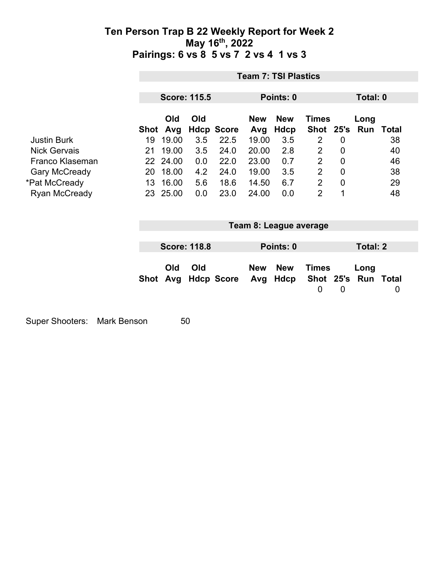|                      |                 | <b>Team 7: TSI Plastics</b> |                     |                   |                   |                        |                           |                |                             |                |
|----------------------|-----------------|-----------------------------|---------------------|-------------------|-------------------|------------------------|---------------------------|----------------|-----------------------------|----------------|
|                      |                 | <b>Score: 115.5</b>         |                     |                   |                   | Points: 0              |                           |                | Total: 0                    |                |
|                      | Shot            | Old<br>Avg                  | Old                 | <b>Hdcp Score</b> | <b>New</b><br>Avg | <b>New</b><br>Hdcp     | <b>Times</b><br>Shot 25's |                | Long<br>Run                 | <b>Total</b>   |
| <b>Justin Burk</b>   | 19              | 19.00                       | 3.5                 | 22.5              | 19.00             | 3.5                    | $\overline{2}$            | 0              |                             | 38             |
| <b>Nick Gervais</b>  | 21              | 19.00                       | 3.5                 | 24.0              | 20.00             | 2.8                    | $\overline{2}$            | $\overline{0}$ |                             | 40             |
| Franco Klaseman      |                 | 22 24.00                    | 0.0                 | 22.0              | 23.00             | 0.7                    | $\overline{2}$            | $\mathbf 0$    |                             | 46             |
| <b>Gary McCready</b> |                 | 20 18.00                    | 4.2                 | 24.0              | 19.00             | 3.5                    | $\overline{2}$            | $\mathbf 0$    |                             | 38             |
| *Pat McCready        | 13 <sup>°</sup> | 16.00                       | 5.6                 | 18.6              | 14.50             | 6.7                    | 2                         | $\mathbf 0$    |                             | 29             |
| Ryan McCready        |                 | 23 25.00                    | 0.0                 | 23.0              | 24.00             | 0.0                    | $\overline{2}$            | 1              |                             | 48             |
|                      |                 |                             |                     |                   |                   |                        |                           |                |                             |                |
|                      |                 |                             |                     |                   |                   | Team 8: League average |                           |                |                             |                |
|                      |                 |                             | <b>Score: 118.8</b> |                   |                   | Points: 0              |                           |                | <b>Total: 2</b>             |                |
|                      | Shot            | Old<br>Avg                  | Old                 | <b>Hdcp Score</b> | <b>New</b><br>Avg | <b>New</b><br>Hdcp     | <b>Times</b>              |                | Long<br>Shot 25's Run Total |                |
|                      |                 |                             |                     |                   |                   |                        | $\mathbf 0$               | $\overline{0}$ |                             | $\overline{0}$ |
|                      |                 |                             |                     |                   |                   |                        |                           |                |                             |                |
|                      |                 |                             |                     |                   |                   |                        |                           |                |                             |                |

Super Shooters: Mark Benson 50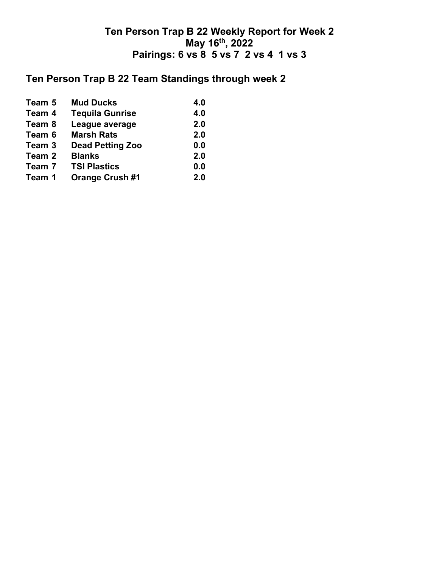## **Ten Person Trap B 22 Team Standings through week 2**

| Team 5 | <b>Mud Ducks</b>        | 4.0 |
|--------|-------------------------|-----|
| Team 4 | <b>Tequila Gunrise</b>  | 4.0 |
| Team 8 | League average          | 2.0 |
| Team 6 | <b>Marsh Rats</b>       | 2.0 |
| Team 3 | <b>Dead Petting Zoo</b> | 0.0 |
| Team 2 | <b>Blanks</b>           | 2.0 |
| Team 7 | <b>TSI Plastics</b>     | 0.0 |
| Team 1 | <b>Orange Crush #1</b>  | 2.0 |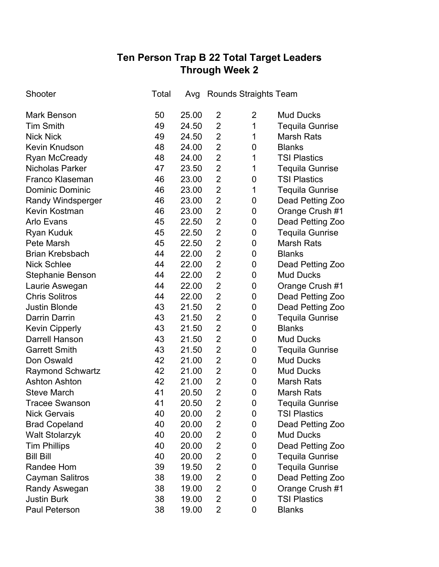# **Ten Person Trap B 22 Total Target Leaders Through Week 2**

| Shooter                  | Total | Avg   | Rounds Straights Team |   |                        |
|--------------------------|-------|-------|-----------------------|---|------------------------|
| <b>Mark Benson</b>       | 50    | 25.00 | 2                     | 2 | <b>Mud Ducks</b>       |
| <b>Tim Smith</b>         | 49    | 24.50 | $\overline{2}$        | 1 | <b>Tequila Gunrise</b> |
| <b>Nick Nick</b>         | 49    | 24.50 | $\overline{2}$        | 1 | <b>Marsh Rats</b>      |
| <b>Kevin Knudson</b>     | 48    | 24.00 | $\overline{2}$        | 0 | <b>Blanks</b>          |
| <b>Ryan McCready</b>     | 48    | 24.00 | $\overline{2}$        | 1 | <b>TSI Plastics</b>    |
| <b>Nicholas Parker</b>   | 47    | 23.50 | $\overline{2}$        | 1 | <b>Tequila Gunrise</b> |
| Franco Klaseman          | 46    | 23.00 | $\overline{2}$        | 0 | <b>TSI Plastics</b>    |
| <b>Dominic Dominic</b>   | 46    | 23.00 | $\overline{2}$        | 1 | <b>Tequila Gunrise</b> |
| <b>Randy Windsperger</b> | 46    | 23.00 | $\overline{2}$        | 0 | Dead Petting Zoo       |
| <b>Kevin Kostman</b>     | 46    | 23.00 | $\overline{2}$        | 0 | Orange Crush #1        |
| Arlo Evans               | 45    | 22.50 | $\overline{2}$        | 0 | Dead Petting Zoo       |
| <b>Ryan Kuduk</b>        | 45    | 22.50 | $\overline{2}$        | 0 | <b>Tequila Gunrise</b> |
| Pete Marsh               | 45    | 22.50 | $\overline{2}$        | 0 | <b>Marsh Rats</b>      |
| <b>Brian Krebsbach</b>   | 44    | 22.00 | $\overline{2}$        | 0 | <b>Blanks</b>          |
| <b>Nick Schlee</b>       | 44    | 22.00 | $\overline{2}$        | 0 | Dead Petting Zoo       |
| <b>Stephanie Benson</b>  | 44    | 22.00 | $\overline{2}$        | 0 | <b>Mud Ducks</b>       |
| Laurie Aswegan           | 44    | 22.00 | $\overline{2}$        | 0 | Orange Crush #1        |
| <b>Chris Solitros</b>    | 44    | 22.00 | $\overline{2}$        | 0 | Dead Petting Zoo       |
| <b>Justin Blonde</b>     | 43    | 21.50 | $\overline{2}$        | 0 | Dead Petting Zoo       |
| Darrin Darrin            | 43    | 21.50 | $\overline{2}$        | 0 | <b>Tequila Gunrise</b> |
| <b>Kevin Cipperly</b>    | 43    | 21.50 | $\overline{2}$        | 0 | <b>Blanks</b>          |
| <b>Darrell Hanson</b>    | 43    | 21.50 | $\overline{2}$        | 0 | <b>Mud Ducks</b>       |
| <b>Garrett Smith</b>     | 43    | 21.50 | $\overline{2}$        | 0 | <b>Tequila Gunrise</b> |
| Don Oswald               | 42    | 21.00 | $\overline{2}$        | 0 | <b>Mud Ducks</b>       |
| <b>Raymond Schwartz</b>  | 42    | 21.00 | $\overline{2}$        | 0 | <b>Mud Ducks</b>       |
| <b>Ashton Ashton</b>     | 42    | 21.00 | $\overline{2}$        | 0 | <b>Marsh Rats</b>      |
| <b>Steve March</b>       | 41    | 20.50 | $\overline{2}$        | 0 | <b>Marsh Rats</b>      |
| <b>Tracee Swanson</b>    | 41    | 20.50 | $\overline{2}$        | 0 | <b>Tequila Gunrise</b> |
| <b>Nick Gervais</b>      | 40    | 20.00 | 2                     | 0 | <b>TSI Plastics</b>    |
| <b>Brad Copeland</b>     | 40    | 20.00 | 2                     | 0 | Dead Petting Zoo       |
| <b>Walt Stolarzyk</b>    | 40    | 20.00 | $\overline{2}$        | 0 | <b>Mud Ducks</b>       |
| <b>Tim Phillips</b>      | 40    | 20.00 | $\overline{2}$        | 0 | Dead Petting Zoo       |
| <b>Bill Bill</b>         | 40    | 20.00 | $\overline{2}$        | 0 | <b>Tequila Gunrise</b> |
| Randee Hom               | 39    | 19.50 | $\overline{2}$        | 0 | <b>Tequila Gunrise</b> |
| <b>Cayman Salitros</b>   | 38    | 19.00 | $\overline{2}$        | 0 | Dead Petting Zoo       |
| Randy Aswegan            | 38    | 19.00 | $\overline{2}$        | 0 | Orange Crush #1        |
| <b>Justin Burk</b>       | 38    | 19.00 | $\overline{2}$        | 0 | <b>TSI Plastics</b>    |
| Paul Peterson            | 38    | 19.00 | $\overline{2}$        | 0 | <b>Blanks</b>          |